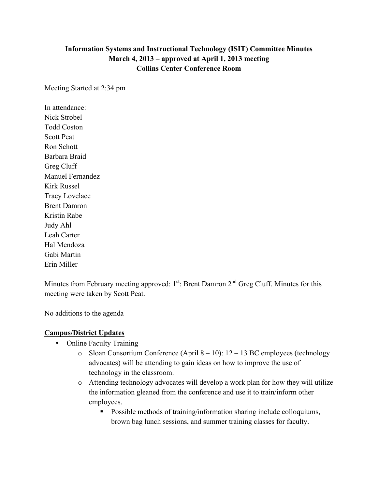## **Information Systems and Instructional Technology (ISIT) Committee Minutes March 4, 2013 – approved at April 1, 2013 meeting Collins Center Conference Room**

Meeting Started at 2:34 pm

In attendance: Nick Strobel Todd Coston Scott Peat Ron Schott Barbara Braid Greg Cluff Manuel Fernandez Kirk Russel Tracy Lovelace Brent Damron Kristin Rabe Judy Ahl Leah Carter Hal Mendoza Gabi Martin Erin Miller

Minutes from February meeting approved:  $1<sup>st</sup>$ : Brent Damron  $2<sup>nd</sup>$  Greg Cluff. Minutes for this meeting were taken by Scott Peat.

No additions to the agenda

## **Campus/District Updates**

- Online Faculty Training
	- o Sloan Consortium Conference (April 8 10): 12 13 BC employees (technology advocates) will be attending to gain ideas on how to improve the use of technology in the classroom.
	- o Attending technology advocates will develop a work plan for how they will utilize the information gleaned from the conference and use it to train/inform other employees.
		- Possible methods of training/information sharing include colloquiums, brown bag lunch sessions, and summer training classes for faculty.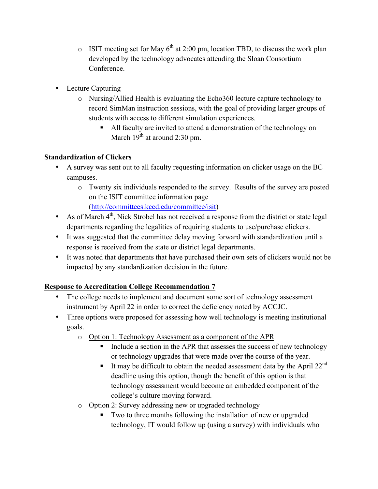- $\circ$  ISIT meeting set for May 6<sup>th</sup> at 2:00 pm, location TBD, to discuss the work plan developed by the technology advocates attending the Sloan Consortium Conference.
- Lecture Capturing
	- o Nursing/Allied Health is evaluating the Echo360 lecture capture technology to record SimMan instruction sessions, with the goal of providing larger groups of students with access to different simulation experiences.
		- All faculty are invited to attend a demonstration of the technology on March  $19^{th}$  at around 2:30 pm.

## **Standardization of Clickers**

- A survey was sent out to all faculty requesting information on clicker usage on the BC campuses.
	- o Twenty six individuals responded to the survey. Results of the survey are posted on the ISIT committee information page

(http://committees.kccd.edu/committee/isit)

- As of March  $4<sup>th</sup>$ , Nick Strobel has not received a response from the district or state legal departments regarding the legalities of requiring students to use/purchase clickers.
- It was suggested that the committee delay moving forward with standardization until a response is received from the state or district legal departments.
- It was noted that departments that have purchased their own sets of clickers would not be impacted by any standardization decision in the future.

## **Response to Accreditation College Recommendation 7**

- The college needs to implement and document some sort of technology assessment instrument by April 22 in order to correct the deficiency noted by ACCJC.
- Three options were proposed for assessing how well technology is meeting institutional goals.
	- o Option 1: Technology Assessment as a component of the APR
		- Include a section in the APR that assesses the success of new technology or technology upgrades that were made over the course of the year.
		- It may be difficult to obtain the needed assessment data by the April  $22^{nd}$ deadline using this option, though the benefit of this option is that technology assessment would become an embedded component of the college's culture moving forward.
	- o Option 2: Survey addressing new or upgraded technology
		- Two to three months following the installation of new or upgraded technology, IT would follow up (using a survey) with individuals who